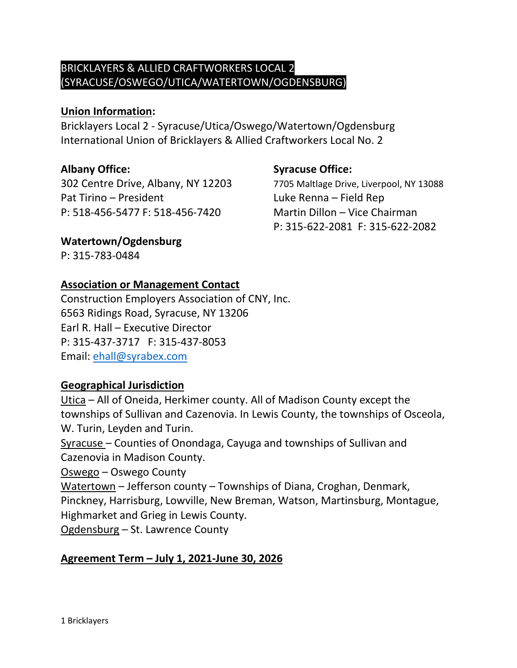# BRICKLAYERS & ALLIED CRAFTWORKERS LOCAL 2 (SYRACUSE/OSWEGO/UTICA/WATERTOWN/OGDENSBURG)

### **Union Information:**

Bricklayers Local 2 - Syracuse/Utica/Oswego/Watertown/Ogdensburg International Union of Bricklayers & Allied Craftworkers Local No. 2

Pat Tirino – President Luke Renna – Field Rep P: 518-456-5477 F: 518-456-7420 Martin Dillon – Vice Chairman

# **Albany Office: Syracuse Office:**

302 Centre Drive, Albany, NY 12203 7705 Maltlage Drive, Liverpool, NY 13088 P: 315-622-2081 F: 315-622-2082

# **Watertown/Ogdensburg**

P: 315-783-0484

### **Association or Management Contact**

Construction Employers Association of CNY, Inc. 6563 Ridings Road, Syracuse, NY 13206 Earl R. Hall – Executive Director P: 315-437-3717 F: 315-437-8053 Email: [ehall@syrabex.com](mailto:ehall@syrabex.com)

# **Geographical Jurisdiction**

Utica – All of Oneida, Herkimer county. All of Madison County except the townships of Sullivan and Cazenovia. In Lewis County, the townships of Osceola, W. Turin, Leyden and Turin.

Syracuse – Counties of Onondaga, Cayuga and townships of Sullivan and Cazenovia in Madison County.

Oswego – Oswego County

Watertown – Jefferson county – Townships of Diana, Croghan, Denmark, Pinckney, Harrisburg, Lowville, New Breman, Watson, Martinsburg, Montague, Highmarket and Grieg in Lewis County.

Ogdensburg – St. Lawrence County

# **Agreement Term – July 1, 2021-June 30, 2026**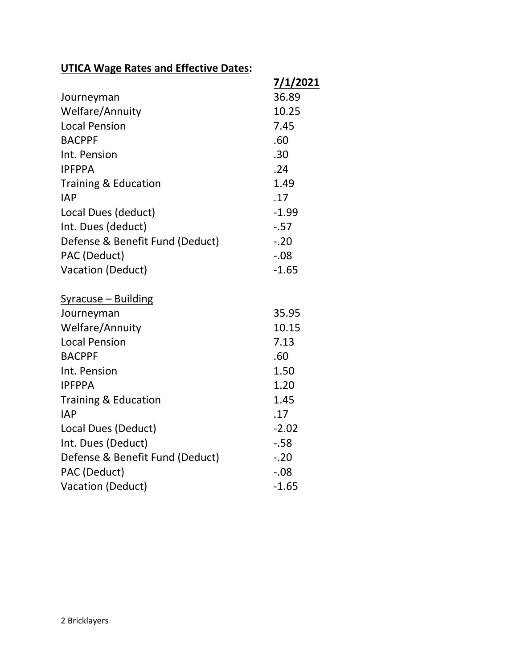# **UTICA Wage Rates and Effective Dates:**

|                                 | <u>7/1/2021</u> |
|---------------------------------|-----------------|
| Journeyman                      | 36.89           |
| Welfare/Annuity                 | 10.25           |
| <b>Local Pension</b>            | 7.45            |
| <b>BACPPF</b>                   | .60             |
| Int. Pension                    | .30             |
| <b>IPFPPA</b>                   | .24             |
| <b>Training &amp; Education</b> | 1.49            |
| <b>IAP</b>                      | .17             |
| Local Dues (deduct)             | $-1.99$         |
| Int. Dues (deduct)              | $-57$           |
| Defense & Benefit Fund (Deduct) | $-.20$          |
| PAC (Deduct)                    | $-0.08$         |
| Vacation (Deduct)               | $-1.65$         |
| Syracuse - Building             |                 |
| Journeyman                      | 35.95           |
| Welfare/Annuity                 | 10.15           |
| <b>Local Pension</b>            | 7.13            |
| <b>BACPPF</b>                   | .60             |
| Int. Pension                    | 1.50            |
| <b>IPFPPA</b>                   | 1.20            |
| <b>Training &amp; Education</b> | 1.45            |
| <b>IAP</b>                      | .17             |
| Local Dues (Deduct)             | $-2.02$         |
| Int. Dues (Deduct)              | $-58$           |
| Defense & Benefit Fund (Deduct) | $-.20$          |
| PAC (Deduct)                    | $-.08$          |
| Vacation (Deduct)               | $-1.65$         |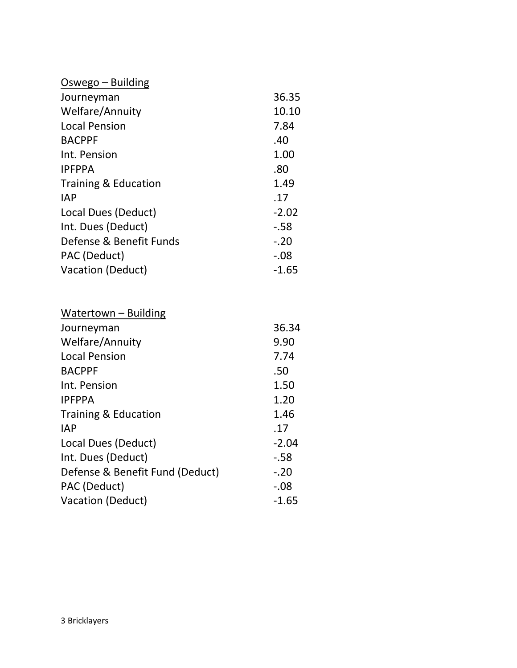| Oswego – Building       |         |
|-------------------------|---------|
| Journeyman              | 36.35   |
| <b>Welfare/Annuity</b>  | 10.10   |
| <b>Local Pension</b>    | 7.84    |
| <b>BACPPF</b>           | .40     |
| Int. Pension            | 1.00    |
| <b>IPFPPA</b>           | .80     |
| Training & Education    | 1.49    |
| <b>IAP</b>              | .17     |
| Local Dues (Deduct)     | $-2.02$ |
| Int. Dues (Deduct)      | $-58$   |
| Defense & Benefit Funds | $-.20$  |
| PAC (Deduct)            | $-.08$  |
| Vacation (Deduct)       | $-1.65$ |

| Watertown - Building            |         |
|---------------------------------|---------|
| Journeyman                      | 36.34   |
| <b>Welfare/Annuity</b>          | 9.90    |
| <b>Local Pension</b>            | 7.74    |
| <b>BACPPF</b>                   | .50     |
| Int. Pension                    | 1.50    |
| <b>IPFPPA</b>                   | 1.20    |
| Training & Education            | 1.46    |
| <b>IAP</b>                      | .17     |
| Local Dues (Deduct)             | $-2.04$ |
| Int. Dues (Deduct)              | $-58$   |
| Defense & Benefit Fund (Deduct) | $-.20$  |
| PAC (Deduct)                    | $-0.08$ |
| Vacation (Deduct)               | $-1.65$ |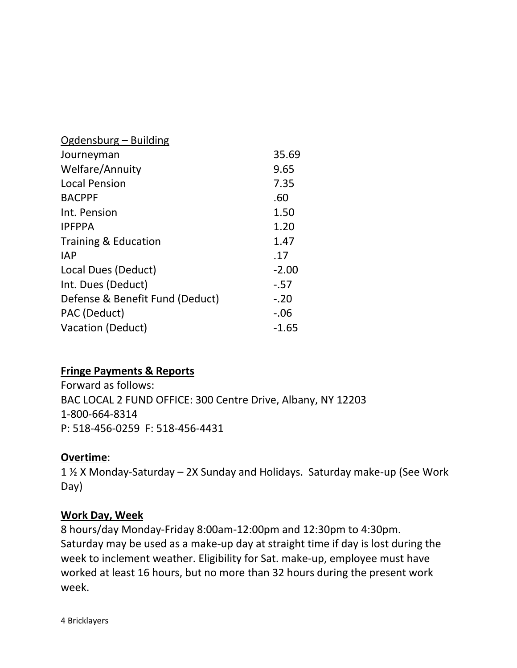| Ogdensburg – Building           |         |
|---------------------------------|---------|
| Journeyman                      | 35.69   |
| <b>Welfare/Annuity</b>          | 9.65    |
| <b>Local Pension</b>            | 7.35    |
| <b>BACPPF</b>                   | .60     |
| Int. Pension                    | 1.50    |
| <b>IPFPPA</b>                   | 1.20    |
| Training & Education            | 1.47    |
| <b>IAP</b>                      | .17     |
| Local Dues (Deduct)             | $-2.00$ |
| Int. Dues (Deduct)              | $-0.57$ |
| Defense & Benefit Fund (Deduct) | $-.20$  |
| PAC (Deduct)                    | $-0.06$ |
| Vacation (Deduct)               | $-1.65$ |

# **Fringe Payments & Reports**

Forward as follows: BAC LOCAL 2 FUND OFFICE: 300 Centre Drive, Albany, NY 12203 1-800-664-8314 P: 518-456-0259 F: 518-456-4431

#### **Overtime**:

1 ½ X Monday-Saturday – 2X Sunday and Holidays. Saturday make-up (See Work Day)

#### **Work Day, Week**

8 hours/day Monday-Friday 8:00am-12:00pm and 12:30pm to 4:30pm. Saturday may be used as a make-up day at straight time if day is lost during the week to inclement weather. Eligibility for Sat. make-up, employee must have worked at least 16 hours, but no more than 32 hours during the present work week.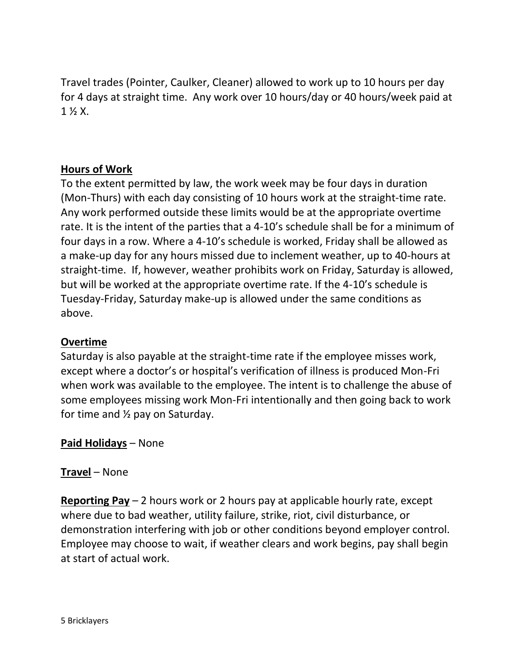Travel trades (Pointer, Caulker, Cleaner) allowed to work up to 10 hours per day for 4 days at straight time. Any work over 10 hours/day or 40 hours/week paid at 1 ½ X.

# **Hours of Work**

To the extent permitted by law, the work week may be four days in duration (Mon-Thurs) with each day consisting of 10 hours work at the straight-time rate. Any work performed outside these limits would be at the appropriate overtime rate. It is the intent of the parties that a 4-10's schedule shall be for a minimum of four days in a row. Where a 4-10's schedule is worked, Friday shall be allowed as a make-up day for any hours missed due to inclement weather, up to 40-hours at straight-time. If, however, weather prohibits work on Friday, Saturday is allowed, but will be worked at the appropriate overtime rate. If the 4-10's schedule is Tuesday-Friday, Saturday make-up is allowed under the same conditions as above.

#### **Overtime**

Saturday is also payable at the straight-time rate if the employee misses work, except where a doctor's or hospital's verification of illness is produced Mon-Fri when work was available to the employee. The intent is to challenge the abuse of some employees missing work Mon-Fri intentionally and then going back to work for time and  $\frac{1}{2}$  pay on Saturday.

#### **Paid Holidays** – None

# **Travel** – None

**Reporting Pay** – 2 hours work or 2 hours pay at applicable hourly rate, except where due to bad weather, utility failure, strike, riot, civil disturbance, or demonstration interfering with job or other conditions beyond employer control. Employee may choose to wait, if weather clears and work begins, pay shall begin at start of actual work.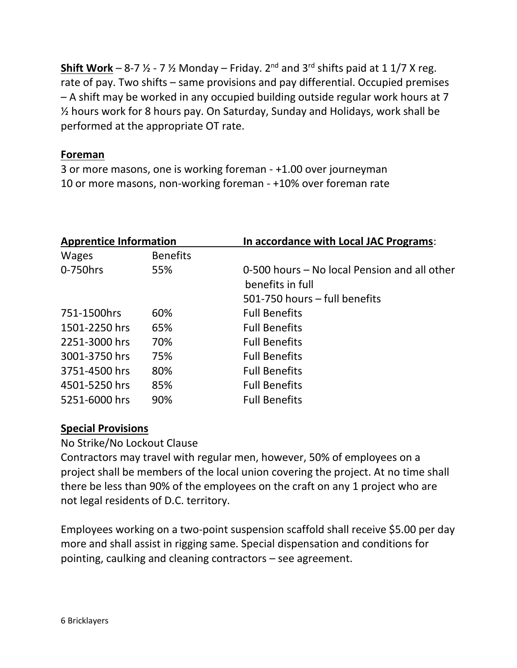**Shift Work** – 8-7  $\frac{1}{2}$  - 7  $\frac{1}{2}$  Monday – Friday. 2<sup>nd</sup> and 3<sup>rd</sup> shifts paid at 1 1/7 X reg. rate of pay. Two shifts – same provisions and pay differential. Occupied premises – A shift may be worked in any occupied building outside regular work hours at 7 ½ hours work for 8 hours pay. On Saturday, Sunday and Holidays, work shall be performed at the appropriate OT rate.

# **Foreman**

3 or more masons, one is working foreman - +1.00 over journeyman 10 or more masons, non-working foreman - +10% over foreman rate

| <b>Apprentice Information</b> |                 | In accordance with Local JAC Programs:                           |  |
|-------------------------------|-----------------|------------------------------------------------------------------|--|
| <b>Wages</b>                  | <b>Benefits</b> |                                                                  |  |
| 0-750hrs                      | 55%             | 0-500 hours – No local Pension and all other<br>benefits in full |  |
|                               |                 | 501-750 hours – full benefits                                    |  |
| 751-1500hrs                   | 60%             | <b>Full Benefits</b>                                             |  |
| 1501-2250 hrs                 | 65%             | <b>Full Benefits</b>                                             |  |
| 2251-3000 hrs                 | 70%             | <b>Full Benefits</b>                                             |  |
| 3001-3750 hrs                 | 75%             | <b>Full Benefits</b>                                             |  |
| 3751-4500 hrs                 | 80%             | <b>Full Benefits</b>                                             |  |
| 4501-5250 hrs                 | 85%             | <b>Full Benefits</b>                                             |  |
| 5251-6000 hrs                 | 90%             | <b>Full Benefits</b>                                             |  |

# **Special Provisions**

No Strike/No Lockout Clause

Contractors may travel with regular men, however, 50% of employees on a project shall be members of the local union covering the project. At no time shall there be less than 90% of the employees on the craft on any 1 project who are not legal residents of D.C. territory.

Employees working on a two-point suspension scaffold shall receive \$5.00 per day more and shall assist in rigging same. Special dispensation and conditions for pointing, caulking and cleaning contractors – see agreement.